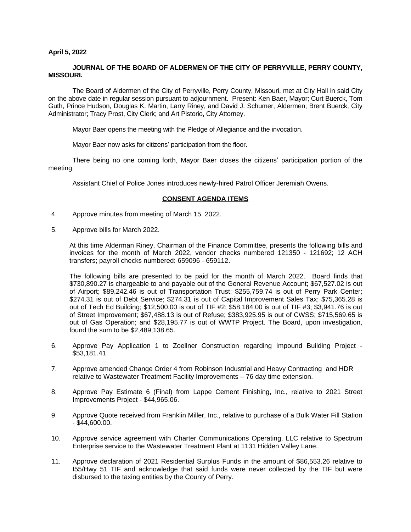# **April 5, 2022**

# **JOURNAL OF THE BOARD OF ALDERMEN OF THE CITY OF PERRYVILLE, PERRY COUNTY, MISSOURI.**

The Board of Aldermen of the City of Perryville, Perry County, Missouri, met at City Hall in said City on the above date in regular session pursuant to adjournment. Present: Ken Baer, Mayor; Curt Buerck, Tom Guth, Prince Hudson, Douglas K. Martin, Larry Riney, and David J. Schumer, Aldermen; Brent Buerck, City Administrator; Tracy Prost, City Clerk; and Art Pistorio, City Attorney.

Mayor Baer opens the meeting with the Pledge of Allegiance and the invocation.

Mayor Baer now asks for citizens' participation from the floor.

There being no one coming forth, Mayor Baer closes the citizens' participation portion of the meeting.

Assistant Chief of Police Jones introduces newly-hired Patrol Officer Jeremiah Owens.

# **CONSENT AGENDA ITEMS**

- 4. Approve minutes from meeting of March 15, 2022.
- 5. Approve bills for March 2022.

At this time Alderman Riney, Chairman of the Finance Committee, presents the following bills and invoices for the month of March 2022, vendor checks numbered 121350 - 121692; 12 ACH transfers; payroll checks numbered: 659096 - 659112.

The following bills are presented to be paid for the month of March 2022. Board finds that \$730,890.27 is chargeable to and payable out of the General Revenue Account; \$67,527.02 is out of Airport; \$89,242.46 is out of Transportation Trust; \$255,759.74 is out of Perry Park Center; \$274.31 is out of Debt Service; \$274.31 is out of Capital Improvement Sales Tax; \$75,365.28 is out of Tech Ed Building; \$12,500.00 is out of TIF #2; \$58,184.00 is out of TIF #3; \$3,941.76 is out of Street Improvement; \$67,488.13 is out of Refuse; \$383,925.95 is out of CWSS; \$715,569.65 is out of Gas Operation; and \$28,195.77 is out of WWTP Project. The Board, upon investigation, found the sum to be \$2,489,138.65.

- 6. Approve Pay Application 1 to Zoellner Construction regarding Impound Building Project \$53,181.41.
- 7. Approve amended Change Order 4 from Robinson Industrial and Heavy Contracting and HDR relative to Wastewater Treatment Facility Improvements – 76 day time extension.
- 8. Approve Pay Estimate 6 (Final) from Lappe Cement Finishing, Inc., relative to 2021 Street Improvements Project - \$44,965.06.
- 9. Approve Quote received from Franklin Miller, Inc., relative to purchase of a Bulk Water Fill Station - \$44,600.00.
- 10. Approve service agreement with Charter Communications Operating, LLC relative to Spectrum Enterprise service to the Wastewater Treatment Plant at 1131 Hidden Valley Lane.
- 11. Approve declaration of 2021 Residential Surplus Funds in the amount of \$86,553.26 relative to I55/Hwy 51 TIF and acknowledge that said funds were never collected by the TIF but were disbursed to the taxing entities by the County of Perry.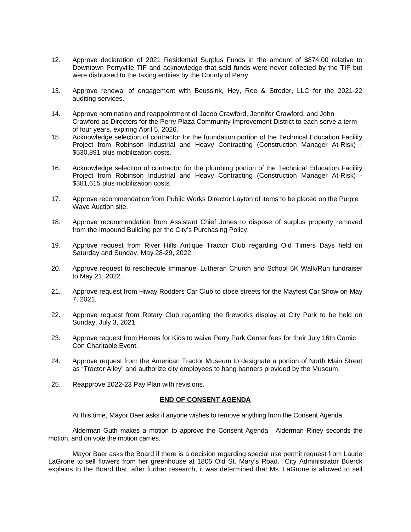- 12. Approve declaration of 2021 Residential Surplus Funds in the amount of \$874.00 relative to Downtown Perryville TIF and acknowledge that said funds were never collected by the TIF but were disbursed to the taxing entities by the County of Perry.
- 13. Approve renewal of engagement with Beussink, Hey, Roe & Stroder, LLC for the 2021-22 auditing services.
- 14. Approve nomination and reappointment of Jacob Crawford, Jennifer Crawford, and John Crawford as Directors for the Perry Plaza Community Improvement District to each serve a term of four years, expiring April 5, 2026.
- 15. Acknowledge selection of contractor for the foundation portion of the Technical Education Facility Project from Robinson Industrial and Heavy Contracting (Construction Manager At-Risk) - \$530,891 plus mobilization costs.
- 16. Acknowledge selection of contractor for the plumbing portion of the Technical Education Facility Project from Robinson Industrial and Heavy Contracting (Construction Manager At-Risk) - \$381,615 plus mobilization costs.
- 17. Approve recommendation from Public Works Director Layton of items to be placed on the Purple Wave Auction site.
- 18. Approve recommendation from Assistant Chief Jones to dispose of surplus property removed from the Impound Building per the City's Purchasing Policy.
- 19. Approve request from River Hills Antique Tractor Club regarding Old Timers Days held on Saturday and Sunday, May 28-29, 2022.
- 20. Approve request to reschedule Immanuel Lutheran Church and School 5K Walk/Run fundraiser to May 21, 2022.
- 21. Approve request from Hiway Rodders Car Club to close streets for the Mayfest Car Show on May 7, 2021.
- 22. Approve request from Rotary Club regarding the fireworks display at City Park to be held on Sunday, July 3, 2021.
- 23. Approve request from Heroes for Kids to waive Perry Park Center fees for their July 16th Comic Con Charitable Event.
- 24. Approve request from the American Tractor Museum to designate a portion of North Main Street as "Tractor Alley" and authorize city employees to hang banners provided by the Museum.
- 25. Reapprove 2022-23 Pay Plan with revisions.

### **END OF CONSENT AGENDA**

At this time, Mayor Baer asks if anyone wishes to remove anything from the Consent Agenda.

Alderman Guth makes a motion to approve the Consent Agenda. Alderman Riney seconds the motion, and on vote the motion carries.

Mayor Baer asks the Board if there is a decision regarding special use permit request from Laurie LaGrone to sell flowers from her greenhouse at 1805 Old St. Mary's Road. City Administrator Buerck explains to the Board that, after further research, it was determined that Ms. LaGrone is allowed to sell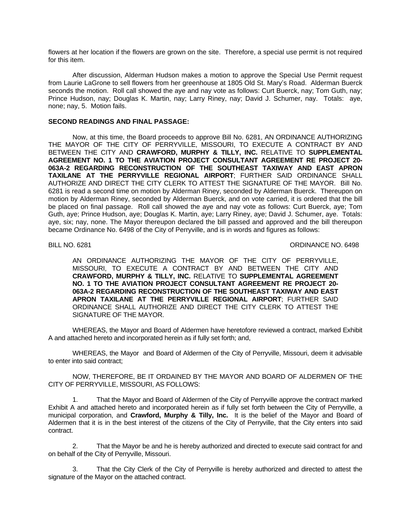flowers at her location if the flowers are grown on the site. Therefore, a special use permit is not required for this item.

After discussion, Alderman Hudson makes a motion to approve the Special Use Permit request from Laurie LaGrone to sell flowers from her greenhouse at 1805 Old St. Mary's Road. Alderman Buerck seconds the motion. Roll call showed the aye and nay vote as follows: Curt Buerck, nay; Tom Guth, nay; Prince Hudson, nay; Douglas K. Martin, nay; Larry Riney, nay; David J. Schumer, nay. Totals: aye, none; nay, 5. Motion fails.

# **SECOND READINGS AND FINAL PASSAGE:**

Now, at this time, the Board proceeds to approve Bill No. 6281, AN ORDINANCE AUTHORIZING THE MAYOR OF THE CITY OF PERRYVILLE, MISSOURI, TO EXECUTE A CONTRACT BY AND BETWEEN THE CITY AND **CRAWFORD, MURPHY & TILLY, INC.** RELATIVE TO **SUPPLEMENTAL AGREEMENT NO. 1 TO THE AVIATION PROJECT CONSULTANT AGREEMENT RE PROJECT 20- 063A-2 REGARDING RECONSTRUCTION OF THE SOUTHEAST TAXIWAY AND EAST APRON TAXILANE AT THE PERRYVILLE REGIONAL AIRPORT**; FURTHER SAID ORDINANCE SHALL AUTHORIZE AND DIRECT THE CITY CLERK TO ATTEST THE SIGNATURE OF THE MAYOR. Bill No. 6281 is read a second time on motion by Alderman Riney, seconded by Alderman Buerck. Thereupon on motion by Alderman Riney, seconded by Alderman Buerck, and on vote carried, it is ordered that the bill be placed on final passage. Roll call showed the aye and nay vote as follows: Curt Buerck, aye; Tom Guth, aye; Prince Hudson, aye; Douglas K. Martin, aye; Larry Riney, aye; David J. Schumer, aye. Totals: aye, six; nay, none. The Mayor thereupon declared the bill passed and approved and the bill thereupon became Ordinance No. 6498 of the City of Perryville, and is in words and figures as follows:

# BILL NO. 6281 CHARGE NO. 6498

AN ORDINANCE AUTHORIZING THE MAYOR OF THE CITY OF PERRYVILLE, MISSOURI, TO EXECUTE A CONTRACT BY AND BETWEEN THE CITY AND **CRAWFORD, MURPHY & TILLY, INC.** RELATIVE TO **SUPPLEMENTAL AGREEMENT NO. 1 TO THE AVIATION PROJECT CONSULTANT AGREEMENT RE PROJECT 20- 063A-2 REGARDING RECONSTRUCTION OF THE SOUTHEAST TAXIWAY AND EAST APRON TAXILANE AT THE PERRYVILLE REGIONAL AIRPORT**; FURTHER SAID ORDINANCE SHALL AUTHORIZE AND DIRECT THE CITY CLERK TO ATTEST THE SIGNATURE OF THE MAYOR.

WHEREAS, the Mayor and Board of Aldermen have heretofore reviewed a contract, marked Exhibit A and attached hereto and incorporated herein as if fully set forth; and,

WHEREAS, the Mayor and Board of Aldermen of the City of Perryville, Missouri, deem it advisable to enter into said contract;

NOW, THEREFORE, BE IT ORDAINED BY THE MAYOR AND BOARD OF ALDERMEN OF THE CITY OF PERRYVILLE, MISSOURI, AS FOLLOWS:

1. That the Mayor and Board of Aldermen of the City of Perryville approve the contract marked Exhibit A and attached hereto and incorporated herein as if fully set forth between the City of Perryville, a municipal corporation, and **Crawford, Murphy & Tilly, Inc.** It is the belief of the Mayor and Board of Aldermen that it is in the best interest of the citizens of the City of Perryville, that the City enters into said contract.

2. That the Mayor be and he is hereby authorized and directed to execute said contract for and on behalf of the City of Perryville, Missouri.

3. That the City Clerk of the City of Perryville is hereby authorized and directed to attest the signature of the Mayor on the attached contract.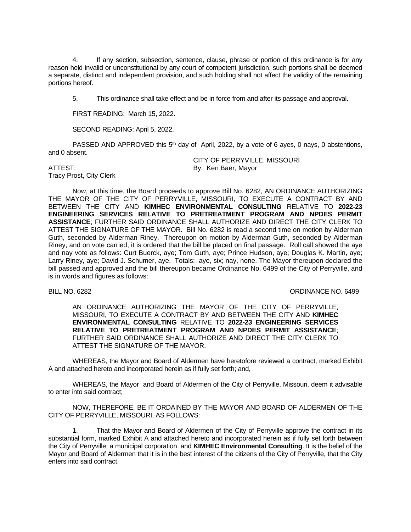4. If any section, subsection, sentence, clause, phrase or portion of this ordinance is for any reason held invalid or unconstitutional by any court of competent jurisdiction, such portions shall be deemed a separate, distinct and independent provision, and such holding shall not affect the validity of the remaining portions hereof.

5. This ordinance shall take effect and be in force from and after its passage and approval.

FIRST READING: March 15, 2022.

SECOND READING: April 5, 2022.

PASSED AND APPROVED this  $5<sup>th</sup>$  day of April, 2022, by a vote of 6 ayes, 0 nays, 0 abstentions, and 0 absent.

Tracy Prost, City Clerk

CITY OF PERRYVILLE, MISSOURI ATTEST: By: Ken Baer, Mayor

Now, at this time, the Board proceeds to approve Bill No. 6282, AN ORDINANCE AUTHORIZING THE MAYOR OF THE CITY OF PERRYVILLE, MISSOURI, TO EXECUTE A CONTRACT BY AND BETWEEN THE CITY AND **KIMHEC ENVIRONMENTAL CONSULTING** RELATIVE TO **2022-23 ENGINEERING SERVICES RELATIVE TO PRETREATMENT PROGRAM AND NPDES PERMIT ASSISTANCE**; FURTHER SAID ORDINANCE SHALL AUTHORIZE AND DIRECT THE CITY CLERK TO ATTEST THE SIGNATURE OF THE MAYOR. Bill No. 6282 is read a second time on motion by Alderman Guth, seconded by Alderman Riney. Thereupon on motion by Alderman Guth, seconded by Alderman Riney, and on vote carried, it is ordered that the bill be placed on final passage. Roll call showed the aye and nay vote as follows: Curt Buerck, aye; Tom Guth, aye; Prince Hudson, aye; Douglas K. Martin, aye; Larry Riney, aye; David J. Schumer, aye. Totals: aye, six; nay, none. The Mayor thereupon declared the bill passed and approved and the bill thereupon became Ordinance No. 6499 of the City of Perryville, and is in words and figures as follows:

BILL NO. 6282 CHEEF CONSULTER STATES AND THE SERVICE ORDINANCE NO. 6499

AN ORDINANCE AUTHORIZING THE MAYOR OF THE CITY OF PERRYVILLE, MISSOURI, TO EXECUTE A CONTRACT BY AND BETWEEN THE CITY AND **KIMHEC ENVIRONMENTAL CONSULTING** RELATIVE TO **2022-23 ENGINEERING SERVICES RELATIVE TO PRETREATMENT PROGRAM AND NPDES PERMIT ASSISTANCE**; FURTHER SAID ORDINANCE SHALL AUTHORIZE AND DIRECT THE CITY CLERK TO ATTEST THE SIGNATURE OF THE MAYOR.

WHEREAS, the Mayor and Board of Aldermen have heretofore reviewed a contract, marked Exhibit A and attached hereto and incorporated herein as if fully set forth; and,

WHEREAS, the Mayor and Board of Aldermen of the City of Perryville, Missouri, deem it advisable to enter into said contract;

NOW, THEREFORE, BE IT ORDAINED BY THE MAYOR AND BOARD OF ALDERMEN OF THE CITY OF PERRYVILLE, MISSOURI, AS FOLLOWS:

1. That the Mayor and Board of Aldermen of the City of Perryville approve the contract in its substantial form, marked Exhibit A and attached hereto and incorporated herein as if fully set forth between the City of Perryville, a municipal corporation, and **KIMHEC Environmental Consulting**. It is the belief of the Mayor and Board of Aldermen that it is in the best interest of the citizens of the City of Perryville, that the City enters into said contract.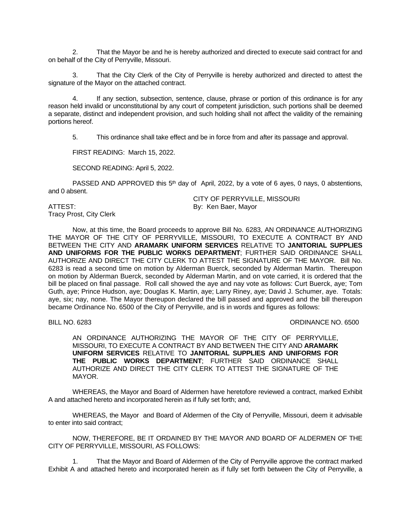2. That the Mayor be and he is hereby authorized and directed to execute said contract for and on behalf of the City of Perryville, Missouri.

3. That the City Clerk of the City of Perryville is hereby authorized and directed to attest the signature of the Mayor on the attached contract.

4. If any section, subsection, sentence, clause, phrase or portion of this ordinance is for any reason held invalid or unconstitutional by any court of competent jurisdiction, such portions shall be deemed a separate, distinct and independent provision, and such holding shall not affect the validity of the remaining portions hereof.

5. This ordinance shall take effect and be in force from and after its passage and approval.

FIRST READING: March 15, 2022.

SECOND READING: April 5, 2022.

PASSED AND APPROVED this  $5<sup>th</sup>$  day of April, 2022, by a vote of 6 ayes, 0 nays, 0 abstentions, and 0 absent.

Tracy Prost, City Clerk

CITY OF PERRYVILLE, MISSOURI ATTEST: By: Ken Baer, Mayor

Now, at this time, the Board proceeds to approve Bill No. 6283, AN ORDINANCE AUTHORIZING THE MAYOR OF THE CITY OF PERRYVILLE, MISSOURI, TO EXECUTE A CONTRACT BY AND BETWEEN THE CITY AND **ARAMARK UNIFORM SERVICES** RELATIVE TO **JANITORIAL SUPPLIES AND UNIFORMS FOR THE PUBLIC WORKS DEPARTMENT**; FURTHER SAID ORDINANCE SHALL AUTHORIZE AND DIRECT THE CITY CLERK TO ATTEST THE SIGNATURE OF THE MAYOR. Bill No. 6283 is read a second time on motion by Alderman Buerck, seconded by Alderman Martin. Thereupon on motion by Alderman Buerck, seconded by Alderman Martin, and on vote carried, it is ordered that the bill be placed on final passage. Roll call showed the aye and nay vote as follows: Curt Buerck, aye; Tom Guth, aye; Prince Hudson, aye; Douglas K. Martin, aye; Larry Riney, aye; David J. Schumer, aye. Totals: aye, six; nay, none. The Mayor thereupon declared the bill passed and approved and the bill thereupon became Ordinance No. 6500 of the City of Perryville, and is in words and figures as follows:

BILL NO. 6283 CREAKING IN A SERIES ORDINANCE NO. 6500

AN ORDINANCE AUTHORIZING THE MAYOR OF THE CITY OF PERRYVILLE, MISSOURI, TO EXECUTE A CONTRACT BY AND BETWEEN THE CITY AND **ARAMARK UNIFORM SERVICES** RELATIVE TO **JANITORIAL SUPPLIES AND UNIFORMS FOR THE PUBLIC WORKS DEPARTMENT**; FURTHER SAID ORDINANCE SHALL AUTHORIZE AND DIRECT THE CITY CLERK TO ATTEST THE SIGNATURE OF THE MAYOR.

WHEREAS, the Mayor and Board of Aldermen have heretofore reviewed a contract, marked Exhibit A and attached hereto and incorporated herein as if fully set forth; and,

WHEREAS, the Mayor and Board of Aldermen of the City of Perryville, Missouri, deem it advisable to enter into said contract;

NOW, THEREFORE, BE IT ORDAINED BY THE MAYOR AND BOARD OF ALDERMEN OF THE CITY OF PERRYVILLE, MISSOURI, AS FOLLOWS:

1. That the Mayor and Board of Aldermen of the City of Perryville approve the contract marked Exhibit A and attached hereto and incorporated herein as if fully set forth between the City of Perryville, a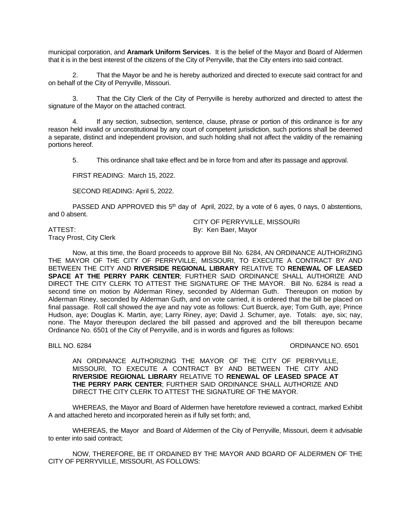municipal corporation, and **Aramark Uniform Services**. It is the belief of the Mayor and Board of Aldermen that it is in the best interest of the citizens of the City of Perryville, that the City enters into said contract.

2. That the Mayor be and he is hereby authorized and directed to execute said contract for and on behalf of the City of Perryville, Missouri.

3. That the City Clerk of the City of Perryville is hereby authorized and directed to attest the signature of the Mayor on the attached contract.

4. If any section, subsection, sentence, clause, phrase or portion of this ordinance is for any reason held invalid or unconstitutional by any court of competent jurisdiction, such portions shall be deemed a separate, distinct and independent provision, and such holding shall not affect the validity of the remaining portions hereof.

5. This ordinance shall take effect and be in force from and after its passage and approval.

FIRST READING: March 15, 2022.

SECOND READING: April 5, 2022.

PASSED AND APPROVED this  $5<sup>th</sup>$  day of April, 2022, by a vote of 6 ayes, 0 nays, 0 abstentions, and 0 absent.

Tracy Prost, City Clerk

CITY OF PERRYVILLE, MISSOURI ATTEST: By: Ken Baer, Mayor

Now, at this time, the Board proceeds to approve Bill No. 6284, AN ORDINANCE AUTHORIZING THE MAYOR OF THE CITY OF PERRYVILLE, MISSOURI, TO EXECUTE A CONTRACT BY AND BETWEEN THE CITY AND **RIVERSIDE REGIONAL LIBRARY** RELATIVE TO **RENEWAL OF LEASED SPACE AT THE PERRY PARK CENTER**; FURTHER SAID ORDINANCE SHALL AUTHORIZE AND DIRECT THE CITY CLERK TO ATTEST THE SIGNATURE OF THE MAYOR. Bill No. 6284 is read a second time on motion by Alderman Riney, seconded by Alderman Guth. Thereupon on motion by Alderman Riney, seconded by Alderman Guth, and on vote carried, it is ordered that the bill be placed on final passage. Roll call showed the aye and nay vote as follows: Curt Buerck, aye; Tom Guth, aye; Prince Hudson, aye; Douglas K. Martin, aye; Larry Riney, aye; David J. Schumer, aye. Totals: aye, six; nay, none. The Mayor thereupon declared the bill passed and approved and the bill thereupon became Ordinance No. 6501 of the City of Perryville, and is in words and figures as follows:

#### BILL NO. 6284 **ORDINANCE NO. 6501**

AN ORDINANCE AUTHORIZING THE MAYOR OF THE CITY OF PERRYVILLE, MISSOURI, TO EXECUTE A CONTRACT BY AND BETWEEN THE CITY AND **RIVERSIDE REGIONAL LIBRARY** RELATIVE TO **RENEWAL OF LEASED SPACE AT THE PERRY PARK CENTER**; FURTHER SAID ORDINANCE SHALL AUTHORIZE AND DIRECT THE CITY CLERK TO ATTEST THE SIGNATURE OF THE MAYOR.

WHEREAS, the Mayor and Board of Aldermen have heretofore reviewed a contract, marked Exhibit A and attached hereto and incorporated herein as if fully set forth; and,

WHEREAS, the Mayor and Board of Aldermen of the City of Perryville, Missouri, deem it advisable to enter into said contract;

NOW, THEREFORE, BE IT ORDAINED BY THE MAYOR AND BOARD OF ALDERMEN OF THE CITY OF PERRYVILLE, MISSOURI, AS FOLLOWS: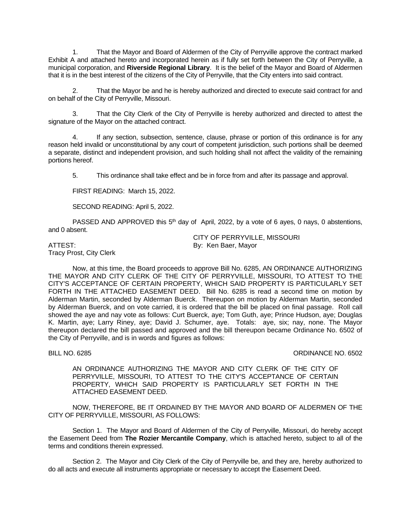1. That the Mayor and Board of Aldermen of the City of Perryville approve the contract marked Exhibit A and attached hereto and incorporated herein as if fully set forth between the City of Perryville, a municipal corporation, and **Riverside Regional Library**. It is the belief of the Mayor and Board of Aldermen that it is in the best interest of the citizens of the City of Perryville, that the City enters into said contract.

2. That the Mayor be and he is hereby authorized and directed to execute said contract for and on behalf of the City of Perryville, Missouri.

3. That the City Clerk of the City of Perryville is hereby authorized and directed to attest the signature of the Mayor on the attached contract.

4. If any section, subsection, sentence, clause, phrase or portion of this ordinance is for any reason held invalid or unconstitutional by any court of competent jurisdiction, such portions shall be deemed a separate, distinct and independent provision, and such holding shall not affect the validity of the remaining portions hereof.

5. This ordinance shall take effect and be in force from and after its passage and approval.

FIRST READING: March 15, 2022.

SECOND READING: April 5, 2022.

PASSED AND APPROVED this  $5<sup>th</sup>$  day of April, 2022, by a vote of 6 ayes, 0 nays, 0 abstentions, and 0 absent.

CITY OF PERRYVILLE, MISSOURI

# ATTEST: By: Ken Baer, Mayor

Tracy Prost, City Clerk

Now, at this time, the Board proceeds to approve Bill No. 6285, AN ORDINANCE AUTHORIZING THE MAYOR AND CITY CLERK OF THE CITY OF PERRYVILLE, MISSOURI, TO ATTEST TO THE CITY'S ACCEPTANCE OF CERTAIN PROPERTY, WHICH SAID PROPERTY IS PARTICULARLY SET FORTH IN THE ATTACHED EASEMENT DEED. Bill No. 6285 is read a second time on motion by Alderman Martin, seconded by Alderman Buerck. Thereupon on motion by Alderman Martin, seconded by Alderman Buerck, and on vote carried, it is ordered that the bill be placed on final passage. Roll call showed the aye and nay vote as follows: Curt Buerck, aye; Tom Guth, aye; Prince Hudson, aye; Douglas K. Martin, aye; Larry Riney, aye; David J. Schumer, aye. Totals: aye, six; nay, none. The Mayor thereupon declared the bill passed and approved and the bill thereupon became Ordinance No. 6502 of the City of Perryville, and is in words and figures as follows:

BILL NO. 6285 CHARLES AND CONSULTED A SERVICE OF A SERVICE OF A SERVICE OF A SERVICE OF A SERVICE OF A SERVICE OF A SERVICE OF A SERVICE OF A SERVICE OF A SERVICE OF A SERVICE OF A SERVICE OF A SERVICE OF A SERVICE OF A SE

AN ORDINANCE AUTHORIZING THE MAYOR AND CITY CLERK OF THE CITY OF PERRYVILLE, MISSOURI, TO ATTEST TO THE CITY'S ACCEPTANCE OF CERTAIN PROPERTY, WHICH SAID PROPERTY IS PARTICULARLY SET FORTH IN THE ATTACHED EASEMENT DEED.

NOW, THEREFORE, BE IT ORDAINED BY THE MAYOR AND BOARD OF ALDERMEN OF THE CITY OF PERRYVILLE, MISSOURI, AS FOLLOWS:

Section 1. The Mayor and Board of Aldermen of the City of Perryville, Missouri, do hereby accept the Easement Deed from **The Rozier Mercantile Company**, which is attached hereto, subject to all of the terms and conditions therein expressed.

Section 2. The Mayor and City Clerk of the City of Perryville be, and they are, hereby authorized to do all acts and execute all instruments appropriate or necessary to accept the Easement Deed.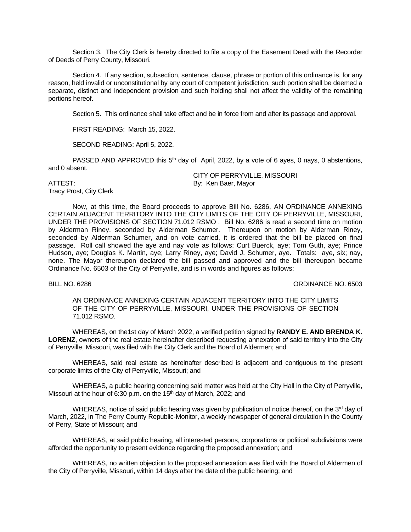Section 3. The City Clerk is hereby directed to file a copy of the Easement Deed with the Recorder of Deeds of Perry County, Missouri.

Section 4. If any section, subsection, sentence, clause, phrase or portion of this ordinance is, for any reason, held invalid or unconstitutional by any court of competent jurisdiction, such portion shall be deemed a separate, distinct and independent provision and such holding shall not affect the validity of the remaining portions hereof.

Section 5. This ordinance shall take effect and be in force from and after its passage and approval.

FIRST READING: March 15, 2022.

SECOND READING: April 5, 2022.

PASSED AND APPROVED this  $5<sup>th</sup>$  day of April, 2022, by a vote of 6 ayes, 0 nays, 0 abstentions, and 0 absent.

Tracy Prost, City Clerk

CITY OF PERRYVILLE, MISSOURI ATTEST: By: Ken Baer, Mayor

Now, at this time, the Board proceeds to approve Bill No. 6286, AN ORDINANCE ANNEXING CERTAIN ADJACENT TERRITORY INTO THE CITY LIMITS OF THE CITY OF PERRYVILLE, MISSOURI, UNDER THE PROVISIONS OF SECTION 71.012 RSMO . Bill No. 6286 is read a second time on motion by Alderman Riney, seconded by Alderman Schumer. Thereupon on motion by Alderman Riney, seconded by Alderman Schumer, and on vote carried, it is ordered that the bill be placed on final passage. Roll call showed the aye and nay vote as follows: Curt Buerck, aye; Tom Guth, aye; Prince Hudson, aye; Douglas K. Martin, aye; Larry Riney, aye; David J. Schumer, aye. Totals: aye, six; nay, none. The Mayor thereupon declared the bill passed and approved and the bill thereupon became Ordinance No. 6503 of the City of Perryville, and is in words and figures as follows:

BILL NO. 6286 CHARLES AND STRUCK AND STRUCK AND STRUCK AND STRUCK AND STRUCK AND STRUCK AND STRUCK AND STRUCK AND STRUCK AND STRUCK AND STRUCK AND STRUCK AND STRUCK AND STRUCK AND STRUCK AND STRUCK AND STRUCK AND STRUCK AN

AN ORDINANCE ANNEXING CERTAIN ADJACENT TERRITORY INTO THE CITY LIMITS OF THE CITY OF PERRYVILLE, MISSOURI, UNDER THE PROVISIONS OF SECTION 71.012 RSMO.

WHEREAS, on the1st day of March 2022, a verified petition signed by **RANDY E. AND BRENDA K. LORENZ**, owners of the real estate hereinafter described requesting annexation of said territory into the City of Perryville, Missouri, was filed with the City Clerk and the Board of Aldermen; and

WHEREAS, said real estate as hereinafter described is adjacent and contiguous to the present corporate limits of the City of Perryville, Missouri; and

WHEREAS, a public hearing concerning said matter was held at the City Hall in the City of Perryville, Missouri at the hour of 6:30 p.m. on the 15<sup>th</sup> day of March, 2022; and

WHEREAS, notice of said public hearing was given by publication of notice thereof, on the 3<sup>rd</sup> day of March, 2022, in The Perry County Republic-Monitor, a weekly newspaper of general circulation in the County of Perry, State of Missouri; and

WHEREAS, at said public hearing, all interested persons, corporations or political subdivisions were afforded the opportunity to present evidence regarding the proposed annexation; and

WHEREAS, no written objection to the proposed annexation was filed with the Board of Aldermen of the City of Perryville, Missouri, within 14 days after the date of the public hearing; and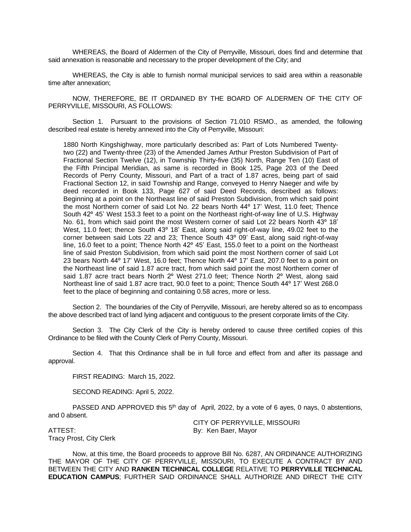WHEREAS, the Board of Aldermen of the City of Perryville, Missouri, does find and determine that said annexation is reasonable and necessary to the proper development of the City; and

WHEREAS, the City is able to furnish normal municipal services to said area within a reasonable time after annexation;

NOW, THEREFORE, BE IT ORDAINED BY THE BOARD OF ALDERMEN OF THE CITY OF PERRYVILLE, MISSOURI, AS FOLLOWS:

Section 1. Pursuant to the provisions of Section 71.010 RSMO., as amended, the following described real estate is hereby annexed into the City of Perryville, Missouri:

1880 North Kingshighway, more particularly described as: Part of Lots Numbered Twentytwo (22) and Twenty-three (23) of the Amended James Arthur Preston Subdivision of Part of Fractional Section Twelve (12), in Township Thirty-five (35) North, Range Ten (10) East of the Fifth Principal Meridian, as same is recorded in Book 125, Page 203 of the Deed Records of Perry County, Missouri, and Part of a tract of 1.87 acres, being part of said Fractional Section 12, in said Township and Range, conveyed to Henry Naeger and wife by deed recorded in Book 133, Page 627 of said Deed Records, described as follows: Beginning at a point on the Northeast line of said Preston Subdivision, from which said point the most Northern corner of said Lot No. 22 bears North 44º 17' West, 11.0 feet; Thence South 42º 45' West 153.3 feet to a point on the Northeast right-of-way line of U.S. Highway No. 61, from which said point the most Western corner of said Lot 22 bears North 43° 18' West, 11.0 feet; thence South 43º 18' East, along said right-of-way line, 49.02 feet to the corner between said Lots 22 and 23; Thence South 43º 09' East, along said right-of-way line, 16.0 feet to a point; Thence North 42º 45' East, 155.0 feet to a point on the Northeast line of said Preston Subdivision, from which said point the most Northern corner of said Lot 23 bears North 44º 17' West, 16.0 feet; Thence North 44º 17' East, 207.0 feet to a point on the Northeast line of said 1.87 acre tract, from which said point the most Northern corner of said 1.87 acre tract bears North 2º West 271.0 feet; Thence North 2º West, along said Northeast line of said 1.87 acre tract, 90.0 feet to a point; Thence South 44º 17' West 268.0 feet to the place of beginning and containing 0.58 acres, more or less.

Section 2. The boundaries of the City of Perryville, Missouri, are hereby altered so as to encompass the above described tract of land lying adjacent and contiguous to the present corporate limits of the City.

Section 3. The City Clerk of the City is hereby ordered to cause three certified copies of this Ordinance to be filed with the County Clerk of Perry County, Missouri.

Section 4. That this Ordinance shall be in full force and effect from and after its passage and approval.

FIRST READING: March 15, 2022.

SECOND READING: April 5, 2022.

PASSED AND APPROVED this  $5<sup>th</sup>$  day of April, 2022, by a vote of 6 ayes, 0 nays, 0 abstentions, and 0 absent.

Tracy Prost, City Clerk

CITY OF PERRYVILLE, MISSOURI ATTEST: By: Ken Baer, Mayor

Now, at this time, the Board proceeds to approve Bill No. 6287, AN ORDINANCE AUTHORIZING THE MAYOR OF THE CITY OF PERRYVILLE, MISSOURI, TO EXECUTE A CONTRACT BY AND BETWEEN THE CITY AND **RANKEN TECHNICAL COLLEGE** RELATIVE TO **PERRYVILLE TECHNICAL EDUCATION CAMPUS**; FURTHER SAID ORDINANCE SHALL AUTHORIZE AND DIRECT THE CITY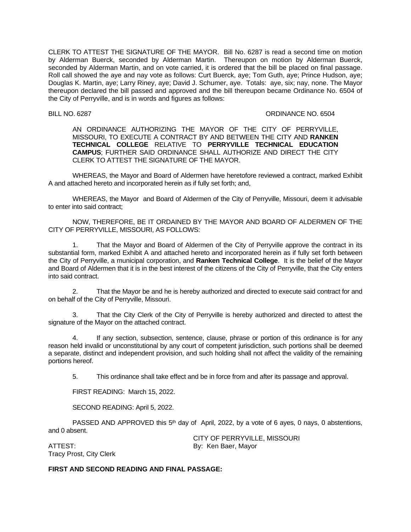CLERK TO ATTEST THE SIGNATURE OF THE MAYOR. Bill No. 6287 is read a second time on motion by Alderman Buerck, seconded by Alderman Martin. Thereupon on motion by Alderman Buerck, seconded by Alderman Martin, and on vote carried, it is ordered that the bill be placed on final passage. Roll call showed the aye and nay vote as follows: Curt Buerck, aye; Tom Guth, aye; Prince Hudson, aye; Douglas K. Martin, aye; Larry Riney, aye; David J. Schumer, aye. Totals: aye, six; nay, none. The Mayor thereupon declared the bill passed and approved and the bill thereupon became Ordinance No. 6504 of the City of Perryville, and is in words and figures as follows:

BILL NO. 6287 CHARGE 1998 CONSUMING THE SERVICE OF STREET AND THE SERVICE OF STREET AND ASSESS OF STREET AND THE SERVICE OF STREET AND STREET AND THE SERVICE OF STREET AND THE SERVICE OF STREET AND THE SERVICE OF STREET AN

AN ORDINANCE AUTHORIZING THE MAYOR OF THE CITY OF PERRYVILLE, MISSOURI, TO EXECUTE A CONTRACT BY AND BETWEEN THE CITY AND **RANKEN TECHNICAL COLLEGE** RELATIVE TO **PERRYVILLE TECHNICAL EDUCATION CAMPUS**; FURTHER SAID ORDINANCE SHALL AUTHORIZE AND DIRECT THE CITY CLERK TO ATTEST THE SIGNATURE OF THE MAYOR.

WHEREAS, the Mayor and Board of Aldermen have heretofore reviewed a contract, marked Exhibit A and attached hereto and incorporated herein as if fully set forth; and,

WHEREAS, the Mayor and Board of Aldermen of the City of Perryville, Missouri, deem it advisable to enter into said contract;

NOW, THEREFORE, BE IT ORDAINED BY THE MAYOR AND BOARD OF ALDERMEN OF THE CITY OF PERRYVILLE, MISSOURI, AS FOLLOWS:

1. That the Mayor and Board of Aldermen of the City of Perryville approve the contract in its substantial form, marked Exhibit A and attached hereto and incorporated herein as if fully set forth between the City of Perryville, a municipal corporation, and **Ranken Technical College**. It is the belief of the Mayor and Board of Aldermen that it is in the best interest of the citizens of the City of Perryville, that the City enters into said contract.

2. That the Mayor be and he is hereby authorized and directed to execute said contract for and on behalf of the City of Perryville, Missouri.

3. That the City Clerk of the City of Perryville is hereby authorized and directed to attest the signature of the Mayor on the attached contract.

4. If any section, subsection, sentence, clause, phrase or portion of this ordinance is for any reason held invalid or unconstitutional by any court of competent jurisdiction, such portions shall be deemed a separate, distinct and independent provision, and such holding shall not affect the validity of the remaining portions hereof.

5. This ordinance shall take effect and be in force from and after its passage and approval.

FIRST READING: March 15, 2022.

SECOND READING: April 5, 2022.

PASSED AND APPROVED this  $5<sup>th</sup>$  day of April, 2022, by a vote of 6 ayes, 0 nays, 0 abstentions, and 0 absent.

ATTEST: By: Ken Baer, Mayor Tracy Prost, City Clerk

CITY OF PERRYVILLE, MISSOURI

# **FIRST AND SECOND READING AND FINAL PASSAGE:**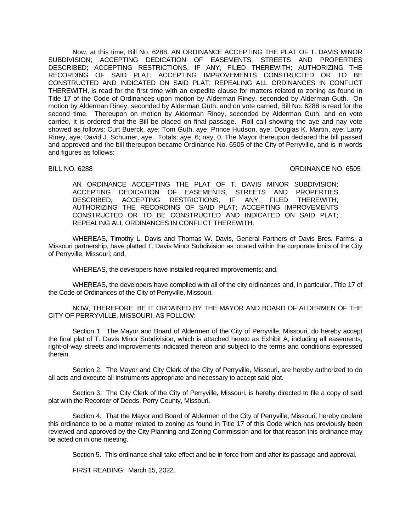Now, at this time, Bill No. 6288, AN ORDINANCE ACCEPTING THE PLAT OF T. DAVIS MINOR SUBDIVISION; ACCEPTING DEDICATION OF EASEMENTS, STREETS AND PROPERTIES DESCRIBED; ACCEPTING RESTRICTIONS, IF ANY, FILED THEREWITH; AUTHORIZING THE RECORDING OF SAID PLAT; ACCEPTING IMPROVEMENTS CONSTRUCTED OR TO BE CONSTRUCTED AND INDICATED ON SAID PLAT; REPEALING ALL ORDINANCES IN CONFLICT THEREWITH, is read for the first time with an expedite clause for matters related to zoning as found in Title 17 of the Code of Ordinances upon motion by Alderman Riney, seconded by Alderman Guth. On motion by Alderman Riney, seconded by Alderman Guth, and on vote carried, Bill No. 6288 is read for the second time. Thereupon on motion by Alderman Riney, seconded by Alderman Guth, and on vote carried, it is ordered that the Bill be placed on final passage. Roll call showing the aye and nay vote showed as follows: Curt Buerck, aye; Tom Guth, aye; Prince Hudson, aye; Douglas K. Martin, aye; Larry Riney, aye; David J. Schumer, aye. Totals: aye, 6; nay, 0. The Mayor thereupon declared the bill passed and approved and the bill thereupon became Ordinance No. 6505 of the City of Perryville, and is in words and figures as follows:

### BILL NO. 6288 **ORDINANCE NO. 6505**

AN ORDINANCE ACCEPTING THE PLAT OF T. DAVIS MINOR SUBDIVISION; ACCEPTING DEDICATION OF EASEMENTS, STREETS AND PROPERTIES DESCRIBED; ACCEPTING RESTRICTIONS, IF ANY, FILED THEREWITH; AUTHORIZING THE RECORDING OF SAID PLAT; ACCEPTING IMPROVEMENTS CONSTRUCTED OR TO BE CONSTRUCTED AND INDICATED ON SAID PLAT; REPEALING ALL ORDINANCES IN CONFLICT THEREWITH.

WHEREAS, Timothy L. Davis and Thomas W. Davis, General Partners of Davis Bros. Farms, a Missouri partnership, have platted T. Davis Minor Subdivision as located within the corporate limits of the City of Perryville, Missouri; and,

WHEREAS, the developers have installed required improvements; and,

WHEREAS, the developers have complied with all of the city ordinances and, in particular, Title 17 of the Code of Ordinances of the City of Perryville, Missouri.

NOW, THEREFORE, BE IT ORDAINED BY THE MAYOR AND BOARD OF ALDERMEN OF THE CITY OF PERRYVILLE, MISSOURI, AS FOLLOW:

Section 1. The Mayor and Board of Aldermen of the City of Perryville, Missouri, do hereby accept the final plat of T. Davis Minor Subdivision, which is attached hereto as Exhibit A, including all easements, right-of-way streets and improvements indicated thereon and subject to the terms and conditions expressed therein.

Section 2. The Mayor and City Clerk of the City of Perryville, Missouri, are hereby authorized to do all acts and execute all instruments appropriate and necessary to accept said plat.

Section 3. The City Clerk of the City of Perryville, Missouri, is hereby directed to file a copy of said plat with the Recorder of Deeds, Perry County, Missouri.

Section 4. That the Mayor and Board of Aldermen of the City of Perryville, Missouri, hereby declare this ordinance to be a matter related to zoning as found in Title 17 of this Code which has previously been reviewed and approved by the City Planning and Zoning Commission and for that reason this ordinance may be acted on in one meeting.

Section 5. This ordinance shall take effect and be in force from and after its passage and approval.

FIRST READING: March 15, 2022.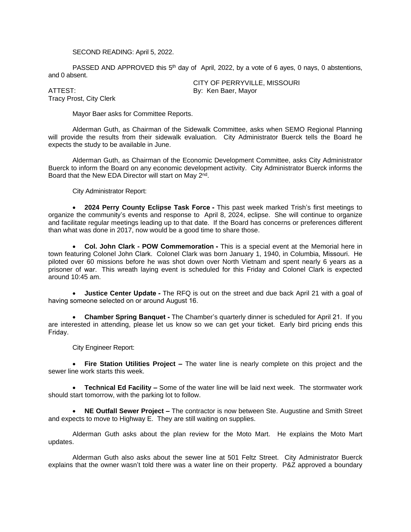# SECOND READING: April 5, 2022.

PASSED AND APPROVED this  $5<sup>th</sup>$  day of April, 2022, by a vote of 6 ayes, 0 nays, 0 abstentions, and 0 absent.

Tracy Prost, City Clerk

CITY OF PERRYVILLE, MISSOURI ATTEST: By: Ken Baer, Mayor

Mayor Baer asks for Committee Reports.

Alderman Guth, as Chairman of the Sidewalk Committee, asks when SEMO Regional Planning will provide the results from their sidewalk evaluation. City Administrator Buerck tells the Board he expects the study to be available in June.

Alderman Guth, as Chairman of the Economic Development Committee, asks City Administrator Buerck to inform the Board on any economic development activity. City Administrator Buerck informs the Board that the New EDA Director will start on May 2<sup>nd</sup>.

City Administrator Report:

 **2024 Perry County Eclipse Task Force -** This past week marked Trish's first meetings to organize the community's events and response to April 8, 2024, eclipse. She will continue to organize and facilitate regular meetings leading up to that date. If the Board has concerns or preferences different than what was done in 2017, now would be a good time to share those.

 **Col. John Clark - POW Commemoration -** This is a special event at the Memorial here in town featuring Colonel John Clark. Colonel Clark was born January 1, 1940, in Columbia, Missouri. He piloted over 60 missions before he was shot down over North Vietnam and spent nearly 6 years as a prisoner of war. This wreath laying event is scheduled for this Friday and Colonel Clark is expected around 10:45 am.

 **Justice Center Update -** The RFQ is out on the street and due back April 21 with a goal of having someone selected on or around August 16.

 **Chamber Spring Banquet -** The Chamber's quarterly dinner is scheduled for April 21. If you are interested in attending, please let us know so we can get your ticket. Early bird pricing ends this Friday.

City Engineer Report:

 **Fire Station Utilities Project –** The water line is nearly complete on this project and the sewer line work starts this week.

 **Technical Ed Facility –** Some of the water line will be laid next week. The stormwater work should start tomorrow, with the parking lot to follow.

 **NE Outfall Sewer Project –** The contractor is now between Ste. Augustine and Smith Street and expects to move to Highway E. They are still waiting on supplies.

Alderman Guth asks about the plan review for the Moto Mart. He explains the Moto Mart updates.

Alderman Guth also asks about the sewer line at 501 Feltz Street. City Administrator Buerck explains that the owner wasn't told there was a water line on their property. P&Z approved a boundary